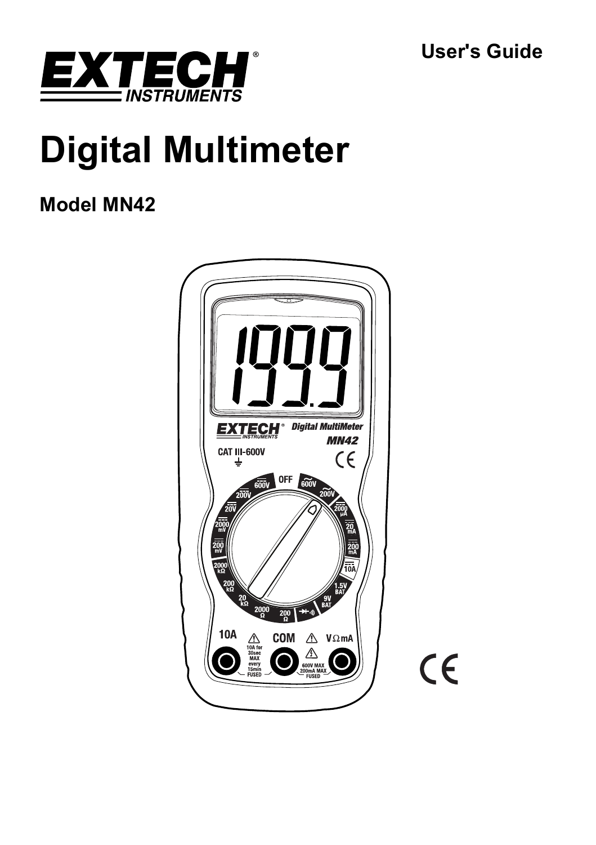**User's Guide** 



# **Digital Multimeter**

## **Model MN42**



 $C\epsilon$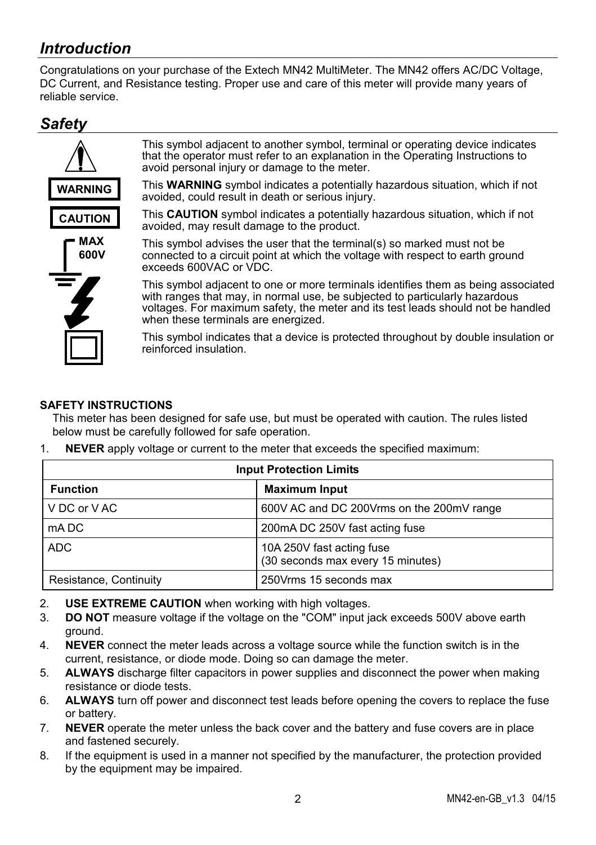## *Introduction*

Congratulations on your purchase of the Extech MN42 MultiMeter. The MN42 offers AC/DC Voltage, DC Current, and Resistance testing. Proper use and care of this meter will provide many years of reliable service.

## *Safety*



## **SAFETY INSTRUCTIONS**

This meter has been designed for safe use, but must be operated with caution. The rules listed below must be carefully followed for safe operation.

| <b>Input Protection Limits</b> |                                                                |  |  |
|--------------------------------|----------------------------------------------------------------|--|--|
| <b>Function</b>                | <b>Maximum Input</b>                                           |  |  |
| V DC or V AC                   | 600V AC and DC 200Vrms on the 200mV range                      |  |  |
| mA DC                          | 200mA DC 250V fast acting fuse                                 |  |  |
| ADC                            | 10A 250V fast acting fuse<br>(30 seconds max every 15 minutes) |  |  |
| Resistance, Continuity         | 250 Vrms 15 seconds max                                        |  |  |

1. **NEVER** apply voltage or current to the meter that exceeds the specified maximum:

- 2. **USE EXTREME CAUTION** when working with high voltages.
- 3. **DO NOT** measure voltage if the voltage on the "COM" input jack exceeds 500V above earth ground.
- 4. **NEVER** connect the meter leads across a voltage source while the function switch is in the current, resistance, or diode mode. Doing so can damage the meter.
- 5. **ALWAYS** discharge filter capacitors in power supplies and disconnect the power when making resistance or diode tests.
- 6. **ALWAYS** turn off power and disconnect test leads before opening the covers to replace the fuse or battery.
- 7. **NEVER** operate the meter unless the back cover and the battery and fuse covers are in place and fastened securely.
- 8. If the equipment is used in a manner not specified by the manufacturer, the protection provided by the equipment may be impaired.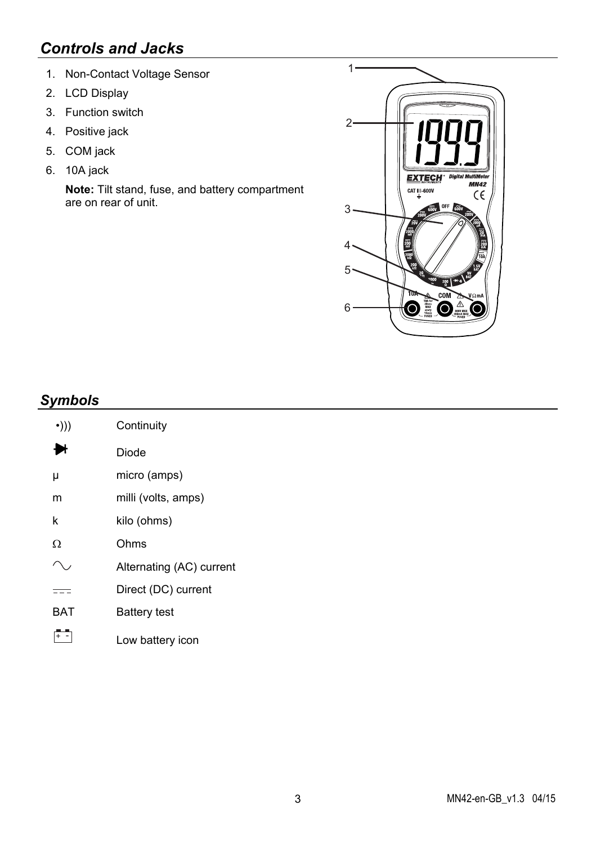## *Controls and Jacks*

- 1. Non-Contact Voltage Sensor
- 2. LCD Display
- 3. Function switch
- 4. Positive jack
- 5. COM jack
- 6. 10A jack

**Note:** Tilt stand, fuse, and battery compartment are on rear of unit.



## *Symbols*

| $\cdot$ ))) | Continuity               |  |
|-------------|--------------------------|--|
| ₩           | Diode                    |  |
| μ           | micro (amps)             |  |
| m           | milli (volts, amps)      |  |
| k           | kilo (ohms)              |  |
| Ω           | Ohms                     |  |
|             | Alternating (AC) current |  |
|             | Direct (DC) current      |  |
| RAT         | <b>Battery test</b>      |  |
|             | Low battery icon         |  |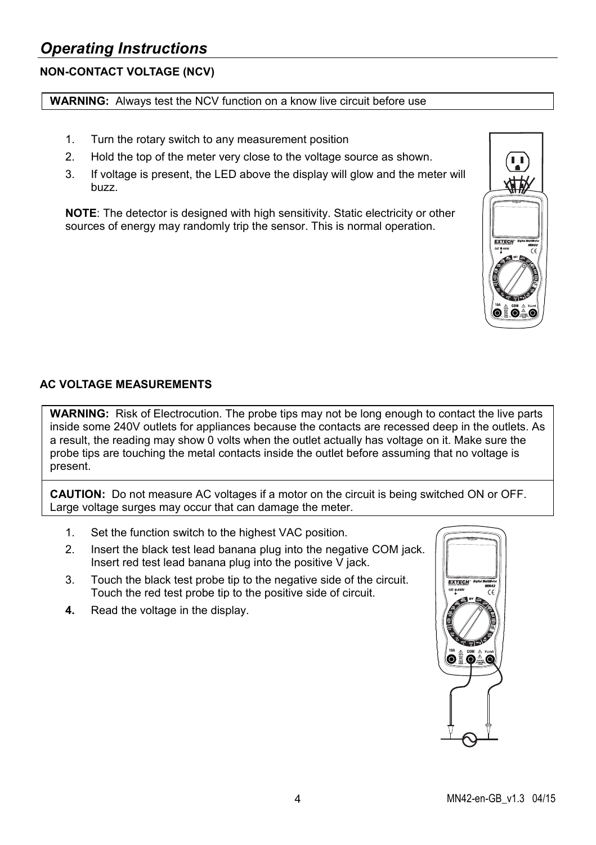## *Operating Instructions*

## **NON-CONTACT VOLTAGE (NCV)**

#### **WARNING:** Always test the NCV function on a know live circuit before use

- 1. Turn the rotary switch to any measurement position
- 2. Hold the top of the meter very close to the voltage source as shown.
- 3. If voltage is present, the LED above the display will glow and the meter will buzz.

**NOTE**: The detector is designed with high sensitivity. Static electricity or other sources of energy may randomly trip the sensor. This is normal operation.



## **AC VOLTAGE MEASUREMENTS**

**WARNING:** Risk of Electrocution. The probe tips may not be long enough to contact the live parts inside some 240V outlets for appliances because the contacts are recessed deep in the outlets. As a result, the reading may show 0 volts when the outlet actually has voltage on it. Make sure the probe tips are touching the metal contacts inside the outlet before assuming that no voltage is present.

**CAUTION:** Do not measure AC voltages if a motor on the circuit is being switched ON or OFF. Large voltage surges may occur that can damage the meter.

- 1. Set the function switch to the highest VAC position.
- 2. Insert the black test lead banana plug into the negative COM jack. Insert red test lead banana plug into the positive  $\overline{V}$  jack.
- 3. Touch the black test probe tip to the negative side of the circuit. Touch the red test probe tip to the positive side of circuit.
- **4.** Read the voltage in the display.

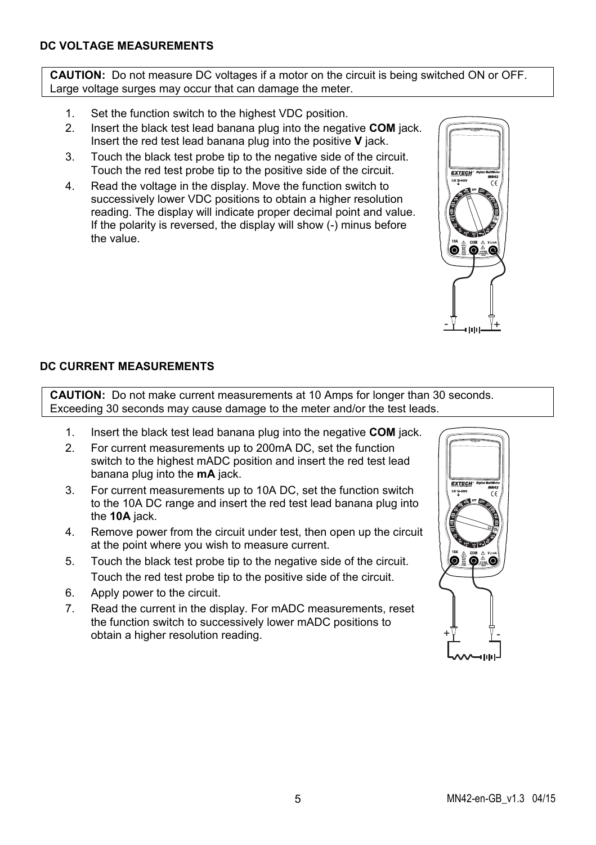## **DC VOLTAGE MEASUREMENTS**

**CAUTION:** Do not measure DC voltages if a motor on the circuit is being switched ON or OFF. Large voltage surges may occur that can damage the meter.

- 1. Set the function switch to the highest VDC position.
- 2. Insert the black test lead banana plug into the negative **COM** jack. Insert the red test lead banana plug into the positive **V** jack.
- 3. Touch the black test probe tip to the negative side of the circuit. Touch the red test probe tip to the positive side of the circuit.
- 4. Read the voltage in the display. Move the function switch to successively lower VDC positions to obtain a higher resolution reading. The display will indicate proper decimal point and value. If the polarity is reversed, the display will show (-) minus before the value.



## **DC CURRENT MEASUREMENTS**

**CAUTION:** Do not make current measurements at 10 Amps for longer than 30 seconds. Exceeding 30 seconds may cause damage to the meter and/or the test leads.

- 1. Insert the black test lead banana plug into the negative **COM** jack.
- 2. For current measurements up to 200mA DC, set the function switch to the highest mADC position and insert the red test lead banana plug into the **mA** jack.
- 3. For current measurements up to 10A DC, set the function switch to the 10A DC range and insert the red test lead banana plug into the **10A** jack.
- 4. Remove power from the circuit under test, then open up the circuit at the point where you wish to measure current.
- 5. Touch the black test probe tip to the negative side of the circuit. Touch the red test probe tip to the positive side of the circuit.
- 6. Apply power to the circuit.
- 7. Read the current in the display. For mADC measurements, reset the function switch to successively lower mADC positions to obtain a higher resolution reading.

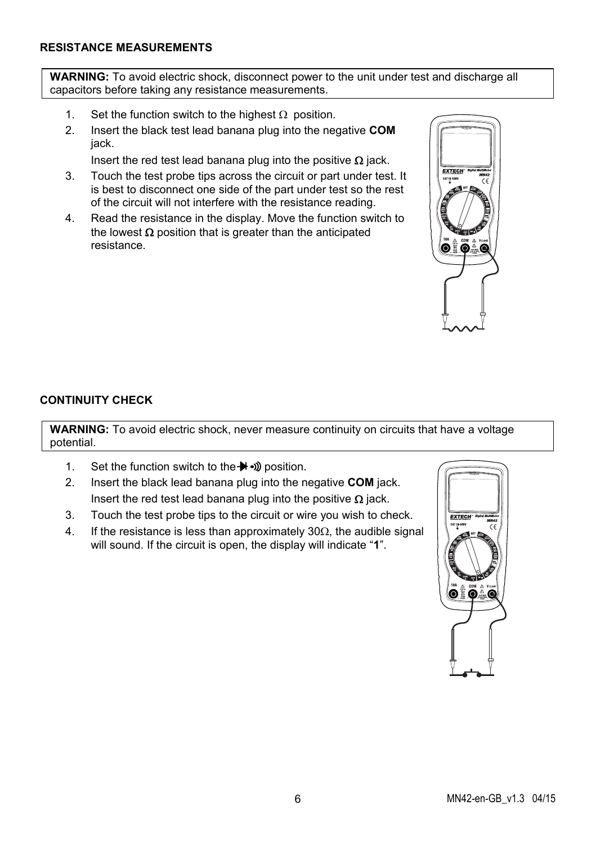### **RESISTANCE MEASUREMENTS**

**WARNING:** To avoid electric shock, disconnect power to the unit under test and discharge all capacitors before taking any resistance measurements.

- 1. Set the function switch to the highest  $\Omega$  position.
- 2. Insert the black test lead banana plug into the negative **COM** jack.

Insert the red test lead banana plug into the positive  $\Omega$  jack.

- 3. Touch the test probe tips across the circuit or part under test. It is best to disconnect one side of the part under test so the rest of the circuit will not interfere with the resistance reading.
- 4. Read the resistance in the display. Move the function switch to the lowest  $\Omega$  position that is greater than the anticipated resistance.



#### **CONTINUITY CHECK**

**WARNING:** To avoid electric shock, never measure continuity on circuits that have a voltage potential.

- 1. Set the function switch to the  $\rightarrow$   $\rightarrow$  position.
- 2. Insert the black lead banana plug into the negative **COM** jack. Insert the red test lead banana plug into the positive  $\Omega$  jack.
- 3. Touch the test probe tips to the circuit or wire you wish to check.
- 4. If the resistance is less than approximately  $30\Omega$ , the audible signal will sound. If the circuit is open, the display will indicate "**1**".

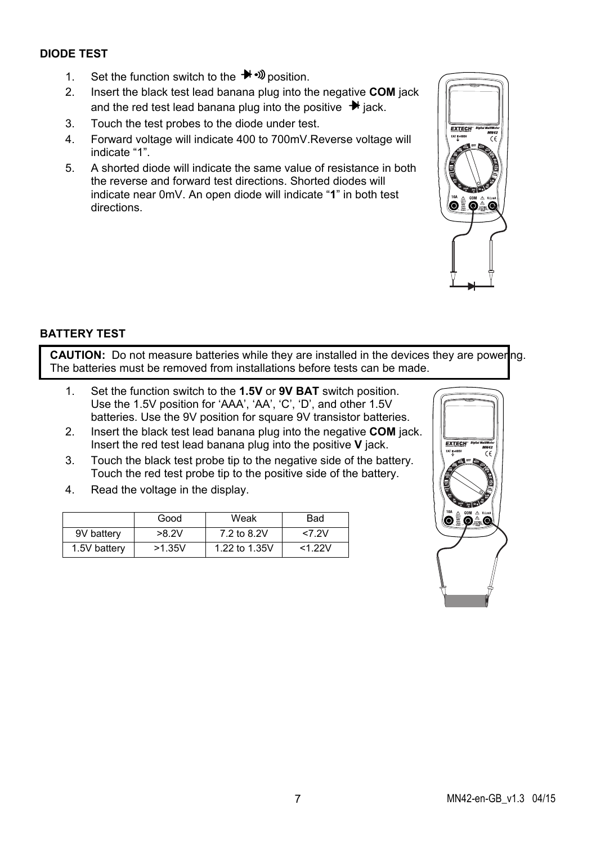## **DIODE TEST**

- 1. Set the function switch to the  $\rightarrow$   $\rightarrow$  position.
- 2. Insert the black test lead banana plug into the negative **COM** jack and the red test lead banana plug into the positive  $\rightarrow$  jack.
- 3. Touch the test probes to the diode under test.
- 4. Forward voltage will indicate 400 to 700mV.Reverse voltage will indicate "1".
- 5. A shorted diode will indicate the same value of resistance in both the reverse and forward test directions. Shorted diodes will indicate near 0mV. An open diode will indicate "**1**" in both test directions.



### **BATTERY TEST**

**CAUTION:** Do not measure batteries while they are installed in the devices they are powering. The batteries must be removed from installations before tests can be made.

- 1. Set the function switch to the **1.5V** or **9V BAT** switch position. Use the 1.5V position for 'AAA', 'AA', 'C', 'D', and other 1.5V batteries. Use the 9V position for square 9V transistor batteries.
- 2. Insert the black test lead banana plug into the negative **COM** jack. Insert the red test lead banana plug into the positive **V** jack.
- 3. Touch the black test probe tip to the negative side of the battery. Touch the red test probe tip to the positive side of the battery.
- 4. Read the voltage in the display.

|              | Good   | Weak          | Bad       |
|--------------|--------|---------------|-----------|
| 9V battery   | >8.2V  | 7.2 to 8.2V   | <7.2V     |
| 1.5V battery | >1.35V | 1.22 to 1.35V | $<1.22$ V |

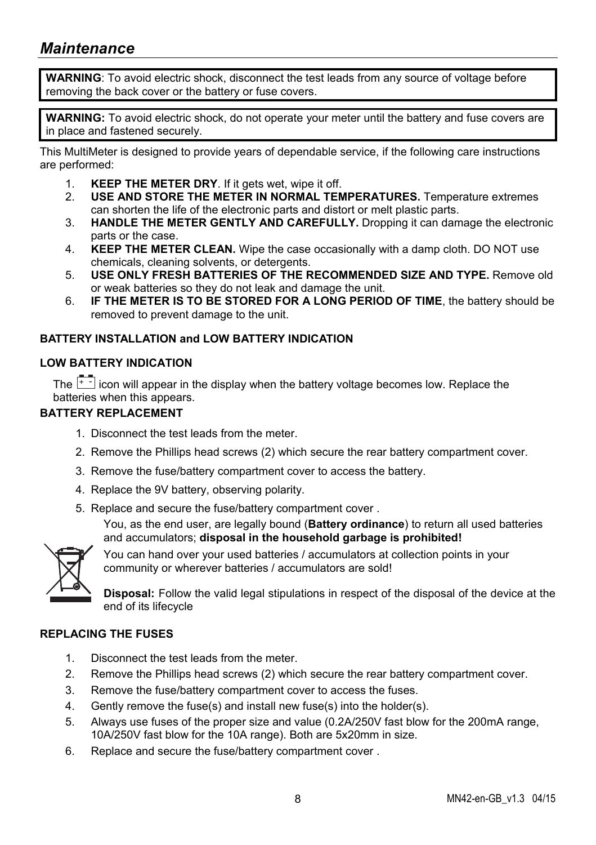## *Maintenance*

**WARNING**: To avoid electric shock, disconnect the test leads from any source of voltage before removing the back cover or the battery or fuse covers.

**WARNING:** To avoid electric shock, do not operate your meter until the battery and fuse covers are in place and fastened securely.

This MultiMeter is designed to provide years of dependable service, if the following care instructions are performed:

- 1. **KEEP THE METER DRY**. If it gets wet, wipe it off.
- 2. **USE AND STORE THE METER IN NORMAL TEMPERATURES.** Temperature extremes can shorten the life of the electronic parts and distort or melt plastic parts.
- 3. **HANDLE THE METER GENTLY AND CAREFULLY.** Dropping it can damage the electronic parts or the case.
- 4. **KEEP THE METER CLEAN.** Wipe the case occasionally with a damp cloth. DO NOT use chemicals, cleaning solvents, or detergents.
- 5. **USE ONLY FRESH BATTERIES OF THE RECOMMENDED SIZE AND TYPE.** Remove old or weak batteries so they do not leak and damage the unit.
- 6. **IF THE METER IS TO BE STORED FOR A LONG PERIOD OF TIME**, the battery should be removed to prevent damage to the unit.

## **BATTERY INSTALLATION and LOW BATTERY INDICATION**

## **LOW BATTERY INDICATION**

The  $\left[\begin{array}{cc} \begin{array}{c} \begin{array}{c} \begin{array}{c} \end{array} \\ \begin{array}{c} \end{array} \end{array} \right]$  icon will appear in the display when the battery voltage becomes low. Replace the batteries when this appears.

#### **BATTERY REPLACEMENT**

- 1. Disconnect the test leads from the meter.
- 2. Remove the Phillips head screws (2) which secure the rear battery compartment cover.
- 3. Remove the fuse/battery compartment cover to access the battery.
- 4. Replace the 9V battery, observing polarity.
- 5. Replace and secure the fuse/battery compartment cover .

You, as the end user, are legally bound (**Battery ordinance**) to return all used batteries and accumulators; **disposal in the household garbage is prohibited!**



You can hand over your used batteries / accumulators at collection points in your community or wherever batteries / accumulators are sold!

**Disposal:** Follow the valid legal stipulations in respect of the disposal of the device at the end of its lifecycle

#### **REPLACING THE FUSES**

- 1. Disconnect the test leads from the meter.
- 2. Remove the Phillips head screws (2) which secure the rear battery compartment cover.
- 3. Remove the fuse/battery compartment cover to access the fuses.
- 4. Gently remove the fuse(s) and install new fuse(s) into the holder(s).
- 5. Always use fuses of the proper size and value (0.2A/250V fast blow for the 200mA range, 10A/250V fast blow for the 10A range). Both are 5x20mm in size.
- 6. Replace and secure the fuse/battery compartment cover .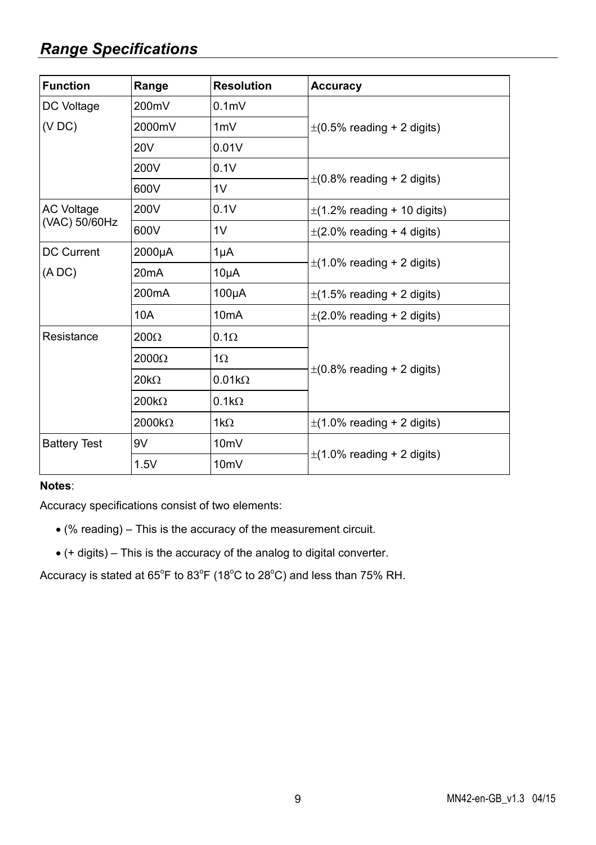## *Range Specifications*

| <b>Function</b>     | Range                       | <b>Resolution</b>               | Accuracy                         |  |
|---------------------|-----------------------------|---------------------------------|----------------------------------|--|
| DC Voltage          | 200mV                       | 0.1 <sub>m</sub>                |                                  |  |
| (VDC)               | 2000mV                      | 1mV                             | $\pm$ (0.5% reading + 2 digits)  |  |
|                     | <b>20V</b>                  | 0.01V                           |                                  |  |
|                     | 200V                        | 0.1V                            |                                  |  |
|                     | 600V                        | 1 <sub>V</sub>                  | $\pm$ (0.8% reading + 2 digits)  |  |
| <b>AC Voltage</b>   | 200V                        | 0.1V                            | $\pm$ (1.2% reading + 10 digits) |  |
|                     | (VAC) 50/60Hz<br>1V<br>600V | $\pm$ (2.0% reading + 4 digits) |                                  |  |
| <b>DC Current</b>   | 2000µA                      | $1\mu$ A                        |                                  |  |
| (ADC)               | 20 <sub>m</sub> A           | $10\mu A$                       | $\pm$ (1.0% reading + 2 digits)  |  |
|                     | 200mA                       | $100\mu A$                      | $\pm$ (1.5% reading + 2 digits)  |  |
|                     | 10A                         | 10 <sub>m</sub> A               | $\pm$ (2.0% reading + 2 digits)  |  |
| Resistance          | $200\Omega$                 | $0.1\Omega$                     |                                  |  |
|                     | $2000\Omega$                | $1\Omega$                       | $\pm$ (0.8% reading + 2 digits)  |  |
|                     | $20k\Omega$                 | $0.01k\Omega$                   |                                  |  |
|                     | $200k\Omega$                | $0.1k\Omega$                    |                                  |  |
|                     | $2000k\Omega$               | $1k\Omega$                      | $\pm$ (1.0% reading + 2 digits)  |  |
| <b>Battery Test</b> | 9V                          | 10 <sub>m</sub> V               |                                  |  |
|                     | 1.5V                        | 10 <sub>m</sub> V               | $\pm$ (1.0% reading + 2 digits)  |  |

#### **Notes**:

Accuracy specifications consist of two elements:

- (% reading) This is the accuracy of the measurement circuit.
- (+ digits) This is the accuracy of the analog to digital converter.

Accuracy is stated at  $65^{\circ}$ F to  $83^{\circ}$ F (18 $^{\circ}$ C to 28 $^{\circ}$ C) and less than 75% RH.